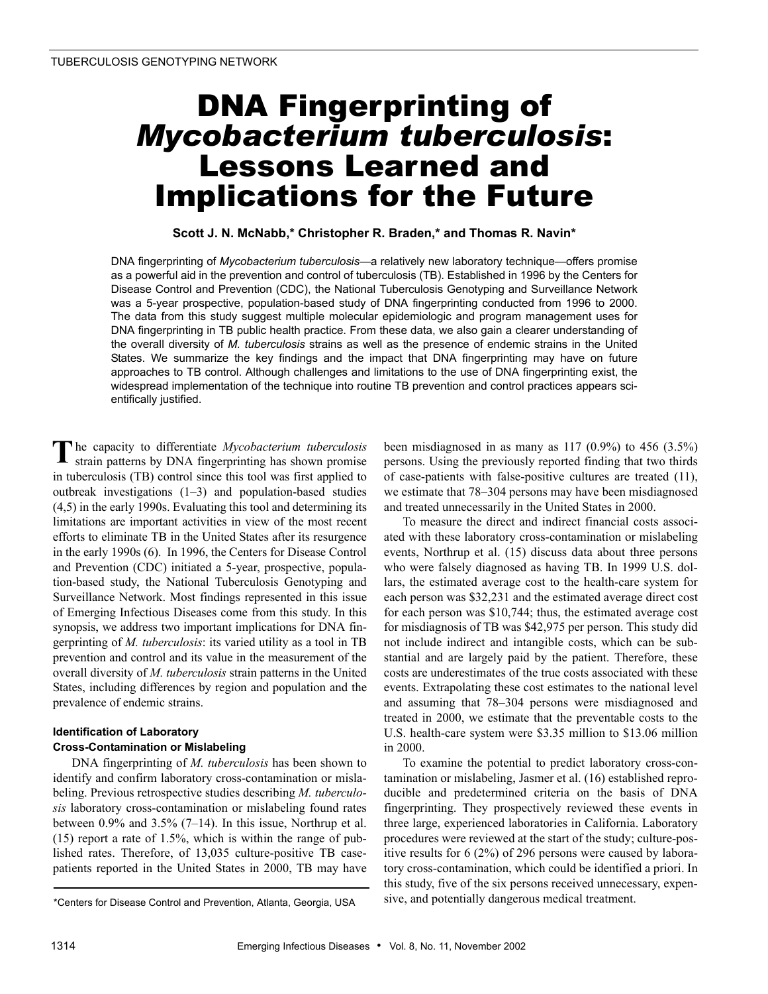# DNA Fingerprinting of *Mycobacterium tuberculosis*: Lessons Learned and Implications for the Future

# **Scott J. N. McNabb,\* Christopher R. Braden,\* and Thomas R. Navin\***

DNA fingerprinting of *Mycobacterium tuberculosis—*a relatively new laboratory technique—offers promise as a powerful aid in the prevention and control of tuberculosis (TB). Established in 1996 by the Centers for Disease Control and Prevention (CDC), the National Tuberculosis Genotyping and Surveillance Network was a 5-year prospective, population-based study of DNA fingerprinting conducted from 1996 to 2000. The data from this study suggest multiple molecular epidemiologic and program management uses for DNA fingerprinting in TB public health practice. From these data, we also gain a clearer understanding of the overall diversity of *M. tuberculosis* strains as well as the presence of endemic strains in the United States. We summarize the key findings and the impact that DNA fingerprinting may have on future approaches to TB control. Although challenges and limitations to the use of DNA fingerprinting exist, the widespread implementation of the technique into routine TB prevention and control practices appears scientifically justified.

The capacity to differentiate *Mycobacterium tuberculosis* strain patterns by DNA fingerprinting has shown promise strain patterns by DNA fingerprinting has shown promise in tuberculosis (TB) control since this tool was first applied to outbreak investigations (1–3) and population-based studies (4,5) in the early 1990s. Evaluating this tool and determining its limitations are important activities in view of the most recent efforts to eliminate TB in the United States after its resurgence in the early 1990s (6). In 1996, the Centers for Disease Control and Prevention (CDC) initiated a 5-year, prospective, population-based study, the National Tuberculosis Genotyping and Surveillance Network. Most findings represented in this issue of Emerging Infectious Diseases come from this study. In this synopsis, we address two important implications for DNA fingerprinting of *M. tuberculosis*: its varied utility as a tool in TB prevention and control and its value in the measurement of the overall diversity of *M. tuberculosis* strain patterns in the United States, including differences by region and population and the prevalence of endemic strains.

## **Identification of Laboratory Cross-Contamination or Mislabeling**

DNA fingerprinting of *M. tuberculosis* has been shown to identify and confirm laboratory cross-contamination or mislabeling. Previous retrospective studies describing *M. tuberculosis* laboratory cross-contamination or mislabeling found rates between 0.9% and 3.5% (7–14). In this issue, Northrup et al.  $(15)$  report a rate of 1.5%, which is within the range of published rates. Therefore, of 13,035 culture-positive TB casepatients reported in the United States in 2000, TB may have

been misdiagnosed in as many as  $117$   $(0.9\%)$  to  $456$   $(3.5\%)$ persons. Using the previously reported finding that two thirds of case-patients with false-positive cultures are treated (11), we estimate that 78–304 persons may have been misdiagnosed and treated unnecessarily in the United States in 2000.

To measure the direct and indirect financial costs associated with these laboratory cross-contamination or mislabeling events, Northrup et al. (15) discuss data about three persons who were falsely diagnosed as having TB. In 1999 U.S. dollars, the estimated average cost to the health-care system for each person was \$32,231 and the estimated average direct cost for each person was \$10,744; thus, the estimated average cost for misdiagnosis of TB was \$42,975 per person. This study did not include indirect and intangible costs, which can be substantial and are largely paid by the patient. Therefore, these costs are underestimates of the true costs associated with these events. Extrapolating these cost estimates to the national level and assuming that 78–304 persons were misdiagnosed and treated in 2000, we estimate that the preventable costs to the U.S. health-care system were \$3.35 million to \$13.06 million in 2000.

To examine the potential to predict laboratory cross-contamination or mislabeling, Jasmer et al. (16) established reproducible and predetermined criteria on the basis of DNA fingerprinting. They prospectively reviewed these events in three large, experienced laboratories in California. Laboratory procedures were reviewed at the start of the study; culture-positive results for 6 (2%) of 296 persons were caused by laboratory cross-contamination, which could be identified a priori. In this study, five of the six persons received unnecessary, expensive, and potentially dangerous medical treatment. \*Centers for Disease Control and Prevention, Atlanta, Georgia, USA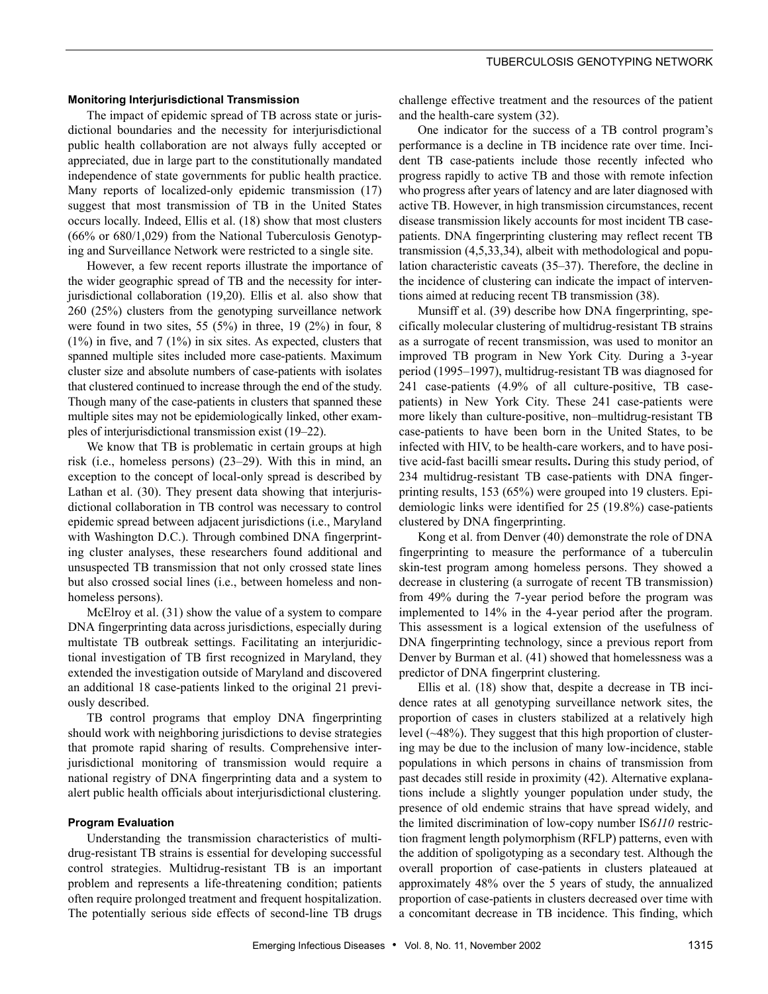#### **Monitoring Interjurisdictional Transmission**

The impact of epidemic spread of TB across state or jurisdictional boundaries and the necessity for interjurisdictional public health collaboration are not always fully accepted or appreciated, due in large part to the constitutionally mandated independence of state governments for public health practice. Many reports of localized-only epidemic transmission (17) suggest that most transmission of TB in the United States occurs locally. Indeed, Ellis et al. (18) show that most clusters (66% or 680/1,029) from the National Tuberculosis Genotyping and Surveillance Network were restricted to a single site.

However, a few recent reports illustrate the importance of the wider geographic spread of TB and the necessity for interjurisdictional collaboration (19,20). Ellis et al. also show that 260 (25%) clusters from the genotyping surveillance network were found in two sites, 55 (5%) in three, 19 (2%) in four, 8  $(1\%)$  in five, and 7 (1%) in six sites. As expected, clusters that spanned multiple sites included more case-patients. Maximum cluster size and absolute numbers of case-patients with isolates that clustered continued to increase through the end of the study. Though many of the case-patients in clusters that spanned these multiple sites may not be epidemiologically linked, other examples of interjurisdictional transmission exist (19–22).

We know that TB is problematic in certain groups at high risk (i.e., homeless persons) (23–29). With this in mind, an exception to the concept of local-only spread is described by Lathan et al. (30). They present data showing that interjurisdictional collaboration in TB control was necessary to control epidemic spread between adjacent jurisdictions (i.e., Maryland with Washington D.C.). Through combined DNA fingerprinting cluster analyses, these researchers found additional and unsuspected TB transmission that not only crossed state lines but also crossed social lines (i.e., between homeless and nonhomeless persons).

McElroy et al. (31) show the value of a system to compare DNA fingerprinting data across jurisdictions, especially during multistate TB outbreak settings. Facilitating an interjuridictional investigation of TB first recognized in Maryland, they extended the investigation outside of Maryland and discovered an additional 18 case-patients linked to the original 21 previously described.

TB control programs that employ DNA fingerprinting should work with neighboring jurisdictions to devise strategies that promote rapid sharing of results. Comprehensive interjurisdictional monitoring of transmission would require a national registry of DNA fingerprinting data and a system to alert public health officials about interjurisdictional clustering.

#### **Program Evaluation**

Understanding the transmission characteristics of multidrug-resistant TB strains is essential for developing successful control strategies. Multidrug-resistant TB is an important problem and represents a life-threatening condition; patients often require prolonged treatment and frequent hospitalization. The potentially serious side effects of second-line TB drugs challenge effective treatment and the resources of the patient and the health-care system (32).

One indicator for the success of a TB control program's performance is a decline in TB incidence rate over time. Incident TB case-patients include those recently infected who progress rapidly to active TB and those with remote infection who progress after years of latency and are later diagnosed with active TB. However, in high transmission circumstances, recent disease transmission likely accounts for most incident TB casepatients. DNA fingerprinting clustering may reflect recent TB transmission (4,5,33,34), albeit with methodological and population characteristic caveats (35–37). Therefore, the decline in the incidence of clustering can indicate the impact of interventions aimed at reducing recent TB transmission (38).

Munsiff et al. (39) describe how DNA fingerprinting, specifically molecular clustering of multidrug-resistant TB strains as a surrogate of recent transmission, was used to monitor an improved TB program in New York City*.* During a 3-year period (1995–1997), multidrug-resistant TB was diagnosed for 241 case-patients (4.9% of all culture-positive, TB casepatients) in New York City. These 241 case-patients were more likely than culture-positive, non–multidrug-resistant TB case-patients to have been born in the United States, to be infected with HIV, to be health-care workers, and to have positive acid-fast bacilli smear results**.** During this study period, of 234 multidrug-resistant TB case-patients with DNA fingerprinting results, 153 (65%) were grouped into 19 clusters. Epidemiologic links were identified for 25 (19.8%) case-patients clustered by DNA fingerprinting.

Kong et al. from Denver (40) demonstrate the role of DNA fingerprinting to measure the performance of a tuberculin skin-test program among homeless persons. They showed a decrease in clustering (a surrogate of recent TB transmission) from 49% during the 7-year period before the program was implemented to 14% in the 4-year period after the program. This assessment is a logical extension of the usefulness of DNA fingerprinting technology, since a previous report from Denver by Burman et al. (41) showed that homelessness was a predictor of DNA fingerprint clustering.

Ellis et al. (18) show that, despite a decrease in TB incidence rates at all genotyping surveillance network sites, the proportion of cases in clusters stabilized at a relatively high level (~48%). They suggest that this high proportion of clustering may be due to the inclusion of many low-incidence, stable populations in which persons in chains of transmission from past decades still reside in proximity (42). Alternative explanations include a slightly younger population under study, the presence of old endemic strains that have spread widely, and the limited discrimination of low-copy number IS*6110* restriction fragment length polymorphism (RFLP) patterns, even with the addition of spoligotyping as a secondary test. Although the overall proportion of case-patients in clusters plateaued at approximately 48% over the 5 years of study, the annualized proportion of case-patients in clusters decreased over time with a concomitant decrease in TB incidence. This finding, which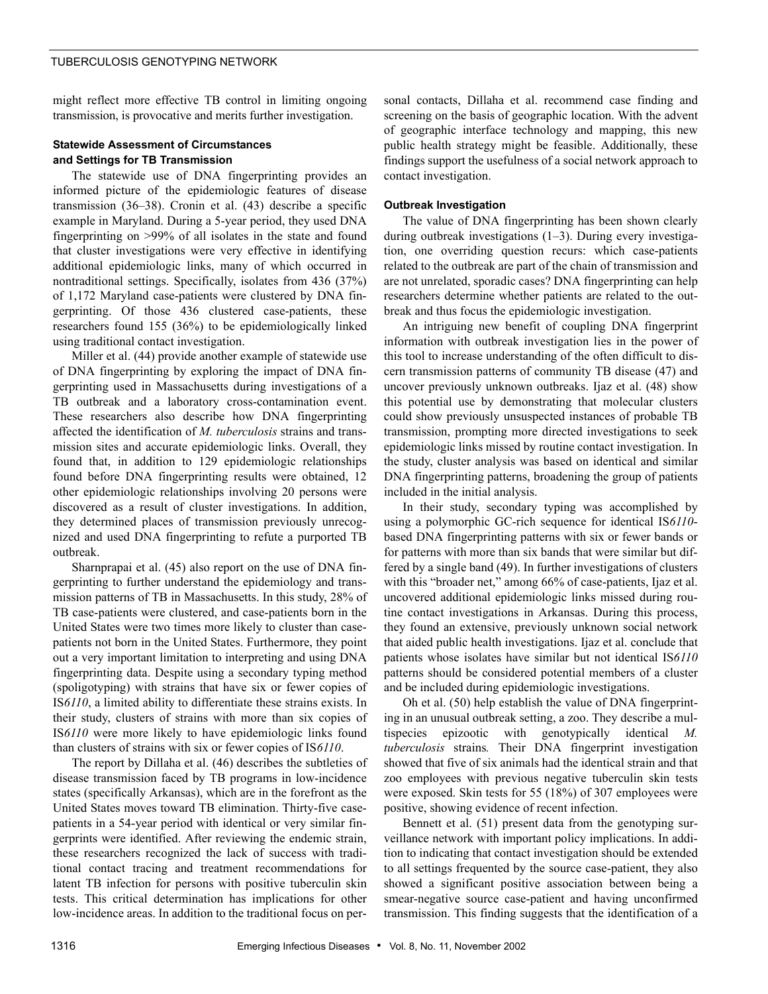might reflect more effective TB control in limiting ongoing transmission, is provocative and merits further investigation.

# **Statewide Assessment of Circumstances and Settings for TB Transmission**

The statewide use of DNA fingerprinting provides an informed picture of the epidemiologic features of disease transmission (36–38). Cronin et al. (43) describe a specific example in Maryland. During a 5-year period, they used DNA fingerprinting on >99% of all isolates in the state and found that cluster investigations were very effective in identifying additional epidemiologic links, many of which occurred in nontraditional settings. Specifically, isolates from 436 (37%) of 1,172 Maryland case-patients were clustered by DNA fingerprinting. Of those 436 clustered case-patients, these researchers found 155 (36%) to be epidemiologically linked using traditional contact investigation.

Miller et al. (44) provide another example of statewide use of DNA fingerprinting by exploring the impact of DNA fingerprinting used in Massachusetts during investigations of a TB outbreak and a laboratory cross-contamination event. These researchers also describe how DNA fingerprinting affected the identification of *M. tuberculosis* strains and transmission sites and accurate epidemiologic links. Overall, they found that, in addition to 129 epidemiologic relationships found before DNA fingerprinting results were obtained, 12 other epidemiologic relationships involving 20 persons were discovered as a result of cluster investigations. In addition, they determined places of transmission previously unrecognized and used DNA fingerprinting to refute a purported TB outbreak.

Sharnprapai et al. (45) also report on the use of DNA fingerprinting to further understand the epidemiology and transmission patterns of TB in Massachusetts. In this study, 28% of TB case-patients were clustered, and case-patients born in the United States were two times more likely to cluster than casepatients not born in the United States. Furthermore, they point out a very important limitation to interpreting and using DNA fingerprinting data. Despite using a secondary typing method (spoligotyping) with strains that have six or fewer copies of IS*6110*, a limited ability to differentiate these strains exists. In their study, clusters of strains with more than six copies of IS*6110* were more likely to have epidemiologic links found than clusters of strains with six or fewer copies of IS*6110*.

The report by Dillaha et al. (46) describes the subtleties of disease transmission faced by TB programs in low-incidence states (specifically Arkansas), which are in the forefront as the United States moves toward TB elimination. Thirty-five casepatients in a 54-year period with identical or very similar fingerprints were identified. After reviewing the endemic strain, these researchers recognized the lack of success with traditional contact tracing and treatment recommendations for latent TB infection for persons with positive tuberculin skin tests. This critical determination has implications for other low-incidence areas. In addition to the traditional focus on personal contacts, Dillaha et al. recommend case finding and screening on the basis of geographic location. With the advent of geographic interface technology and mapping, this new public health strategy might be feasible. Additionally, these findings support the usefulness of a social network approach to contact investigation.

## **Outbreak Investigation**

The value of DNA fingerprinting has been shown clearly during outbreak investigations (1–3). During every investigation, one overriding question recurs: which case-patients related to the outbreak are part of the chain of transmission and are not unrelated, sporadic cases? DNA fingerprinting can help researchers determine whether patients are related to the outbreak and thus focus the epidemiologic investigation.

An intriguing new benefit of coupling DNA fingerprint information with outbreak investigation lies in the power of this tool to increase understanding of the often difficult to discern transmission patterns of community TB disease (47) and uncover previously unknown outbreaks. Ijaz et al. (48) show this potential use by demonstrating that molecular clusters could show previously unsuspected instances of probable TB transmission, prompting more directed investigations to seek epidemiologic links missed by routine contact investigation. In the study, cluster analysis was based on identical and similar DNA fingerprinting patterns, broadening the group of patients included in the initial analysis.

In their study, secondary typing was accomplished by using a polymorphic GC-rich sequence for identical IS*6110* based DNA fingerprinting patterns with six or fewer bands or for patterns with more than six bands that were similar but differed by a single band (49). In further investigations of clusters with this "broader net," among 66% of case-patients, Ijaz et al. uncovered additional epidemiologic links missed during routine contact investigations in Arkansas. During this process, they found an extensive, previously unknown social network that aided public health investigations. Ijaz et al. conclude that patients whose isolates have similar but not identical IS*6110* patterns should be considered potential members of a cluster and be included during epidemiologic investigations.

Oh et al. (50) help establish the value of DNA fingerprinting in an unusual outbreak setting, a zoo. They describe a multispecies epizootic with genotypically identical *M. tuberculosis* strains*.* Their DNA fingerprint investigation showed that five of six animals had the identical strain and that zoo employees with previous negative tuberculin skin tests were exposed. Skin tests for 55 (18%) of 307 employees were positive, showing evidence of recent infection.

Bennett et al. (51) present data from the genotyping surveillance network with important policy implications. In addition to indicating that contact investigation should be extended to all settings frequented by the source case-patient, they also showed a significant positive association between being a smear-negative source case-patient and having unconfirmed transmission. This finding suggests that the identification of a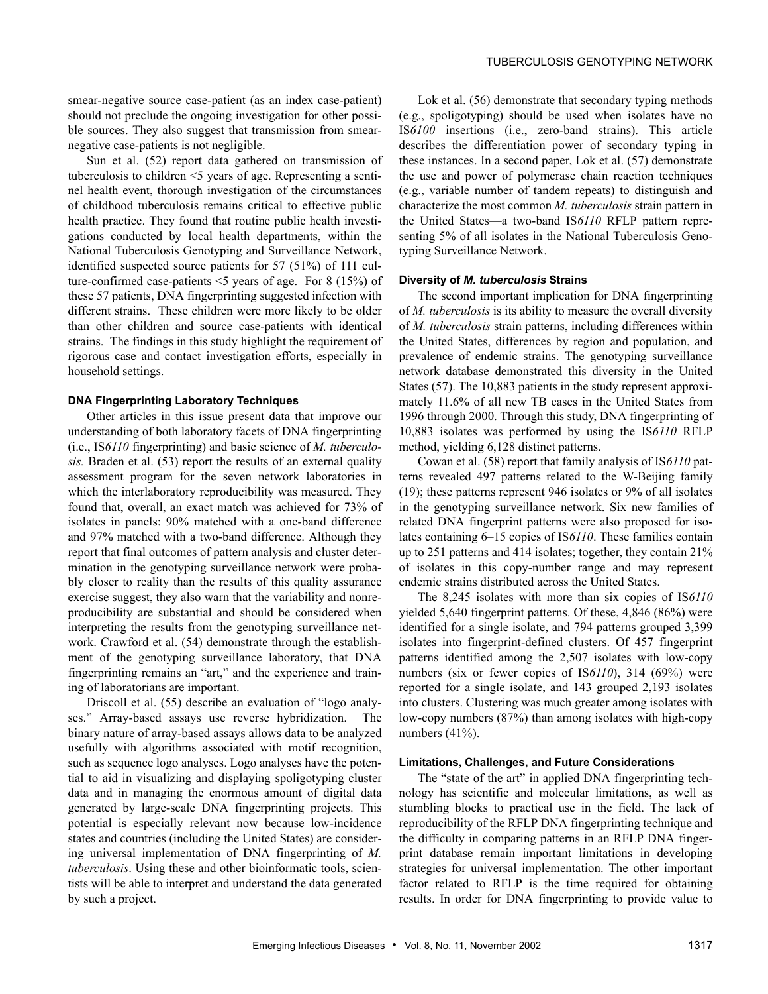smear-negative source case-patient (as an index case-patient) should not preclude the ongoing investigation for other possible sources. They also suggest that transmission from smearnegative case-patients is not negligible.

Sun et al. (52) report data gathered on transmission of tuberculosis to children <5 years of age. Representing a sentinel health event, thorough investigation of the circumstances of childhood tuberculosis remains critical to effective public health practice. They found that routine public health investigations conducted by local health departments, within the National Tuberculosis Genotyping and Surveillance Network, identified suspected source patients for 57 (51%) of 111 culture-confirmed case-patients <5 years of age. For 8 (15%) of these 57 patients, DNA fingerprinting suggested infection with different strains. These children were more likely to be older than other children and source case-patients with identical strains. The findings in this study highlight the requirement of rigorous case and contact investigation efforts, especially in household settings.

## **DNA Fingerprinting Laboratory Techniques**

Other articles in this issue present data that improve our understanding of both laboratory facets of DNA fingerprinting (i.e., IS*6110* fingerprinting) and basic science of *M. tuberculosis.* Braden et al. (53) report the results of an external quality assessment program for the seven network laboratories in which the interlaboratory reproducibility was measured. They found that, overall, an exact match was achieved for 73% of isolates in panels: 90% matched with a one-band difference and 97% matched with a two-band difference. Although they report that final outcomes of pattern analysis and cluster determination in the genotyping surveillance network were probably closer to reality than the results of this quality assurance exercise suggest, they also warn that the variability and nonreproducibility are substantial and should be considered when interpreting the results from the genotyping surveillance network. Crawford et al. (54) demonstrate through the establishment of the genotyping surveillance laboratory, that DNA fingerprinting remains an "art," and the experience and training of laboratorians are important.

Driscoll et al. (55) describe an evaluation of "logo analyses." Array-based assays use reverse hybridization. The binary nature of array-based assays allows data to be analyzed usefully with algorithms associated with motif recognition, such as sequence logo analyses. Logo analyses have the potential to aid in visualizing and displaying spoligotyping cluster data and in managing the enormous amount of digital data generated by large-scale DNA fingerprinting projects. This potential is especially relevant now because low-incidence states and countries (including the United States) are considering universal implementation of DNA fingerprinting of *M. tuberculosis*. Using these and other bioinformatic tools, scientists will be able to interpret and understand the data generated by such a project.

Lok et al. (56) demonstrate that secondary typing methods (e.g., spoligotyping) should be used when isolates have no IS*6100* insertions (i.e., zero-band strains). This article describes the differentiation power of secondary typing in these instances. In a second paper, Lok et al. (57) demonstrate the use and power of polymerase chain reaction techniques (e.g., variable number of tandem repeats) to distinguish and characterize the most common *M. tuberculosis* strain pattern in the United States—a two-band IS*6110* RFLP pattern representing 5% of all isolates in the National Tuberculosis Genotyping Surveillance Network.

#### **Diversity of** *M. tuberculosis* **Strains**

The second important implication for DNA fingerprinting of *M. tuberculosis* is its ability to measure the overall diversity of *M. tuberculosis* strain patterns, including differences within the United States, differences by region and population, and prevalence of endemic strains. The genotyping surveillance network database demonstrated this diversity in the United States (57). The 10,883 patients in the study represent approximately 11.6% of all new TB cases in the United States from 1996 through 2000. Through this study, DNA fingerprinting of 10,883 isolates was performed by using the IS*6110* RFLP method, yielding 6,128 distinct patterns.

Cowan et al. (58) report that family analysis of IS*6110* patterns revealed 497 patterns related to the W-Beijing family (19); these patterns represent 946 isolates or 9% of all isolates in the genotyping surveillance network. Six new families of related DNA fingerprint patterns were also proposed for isolates containing 6–15 copies of IS*6110*. These families contain up to 251 patterns and 414 isolates; together, they contain 21% of isolates in this copy-number range and may represent endemic strains distributed across the United States.

The 8,245 isolates with more than six copies of IS*6110* yielded 5,640 fingerprint patterns. Of these, 4,846 (86%) were identified for a single isolate, and 794 patterns grouped 3,399 isolates into fingerprint-defined clusters. Of 457 fingerprint patterns identified among the 2,507 isolates with low-copy numbers (six or fewer copies of IS*6110*), 314 (69%) were reported for a single isolate, and 143 grouped 2,193 isolates into clusters. Clustering was much greater among isolates with low-copy numbers (87%) than among isolates with high-copy numbers (41%).

#### **Limitations, Challenges, and Future Considerations**

The "state of the art" in applied DNA fingerprinting technology has scientific and molecular limitations, as well as stumbling blocks to practical use in the field. The lack of reproducibility of the RFLP DNA fingerprinting technique and the difficulty in comparing patterns in an RFLP DNA fingerprint database remain important limitations in developing strategies for universal implementation. The other important factor related to RFLP is the time required for obtaining results. In order for DNA fingerprinting to provide value to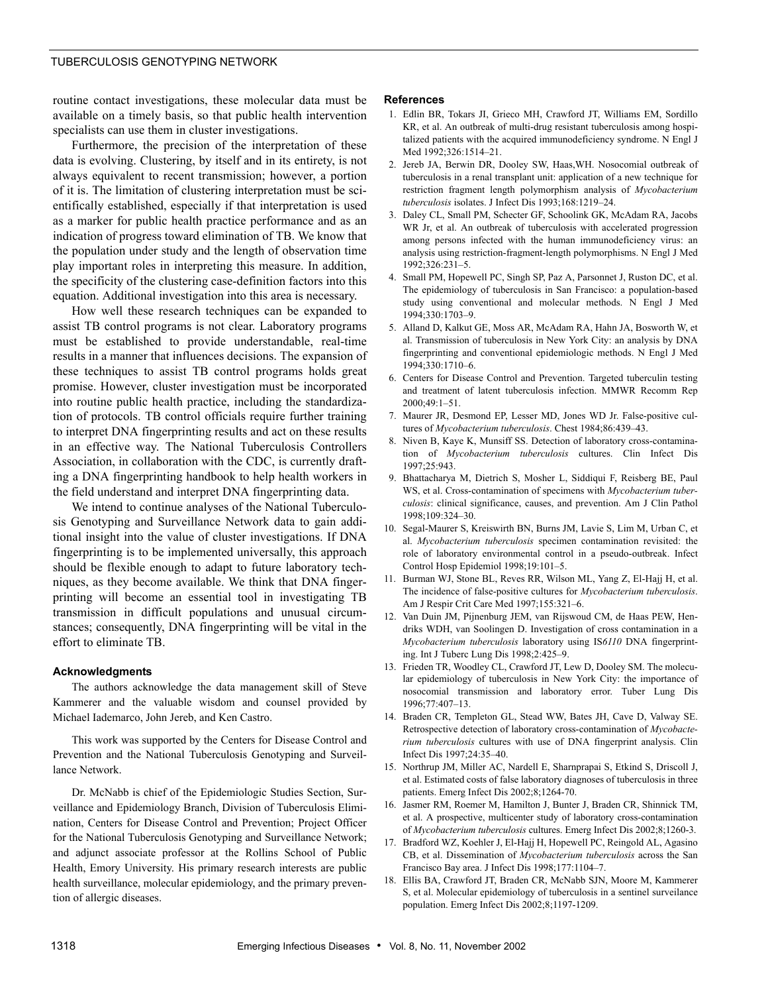## TUBERCULOSIS GENOTYPING NETWORK

routine contact investigations, these molecular data must be available on a timely basis, so that public health intervention specialists can use them in cluster investigations.

Furthermore, the precision of the interpretation of these data is evolving. Clustering, by itself and in its entirety, is not always equivalent to recent transmission; however, a portion of it is. The limitation of clustering interpretation must be scientifically established, especially if that interpretation is used as a marker for public health practice performance and as an indication of progress toward elimination of TB. We know that the population under study and the length of observation time play important roles in interpreting this measure. In addition, the specificity of the clustering case-definition factors into this equation. Additional investigation into this area is necessary.

How well these research techniques can be expanded to assist TB control programs is not clear. Laboratory programs must be established to provide understandable, real-time results in a manner that influences decisions. The expansion of these techniques to assist TB control programs holds great promise. However, cluster investigation must be incorporated into routine public health practice, including the standardization of protocols. TB control officials require further training to interpret DNA fingerprinting results and act on these results in an effective way. The National Tuberculosis Controllers Association, in collaboration with the CDC, is currently drafting a DNA fingerprinting handbook to help health workers in the field understand and interpret DNA fingerprinting data.

We intend to continue analyses of the National Tuberculosis Genotyping and Surveillance Network data to gain additional insight into the value of cluster investigations. If DNA fingerprinting is to be implemented universally, this approach should be flexible enough to adapt to future laboratory techniques, as they become available. We think that DNA fingerprinting will become an essential tool in investigating TB transmission in difficult populations and unusual circumstances; consequently, DNA fingerprinting will be vital in the effort to eliminate TB.

#### **Acknowledgments**

The authors acknowledge the data management skill of Steve Kammerer and the valuable wisdom and counsel provided by Michael Iademarco, John Jereb, and Ken Castro.

This work was supported by the Centers for Disease Control and Prevention and the National Tuberculosis Genotyping and Surveillance Network.

Dr. McNabb is chief of the Epidemiologic Studies Section, Surveillance and Epidemiology Branch, Division of Tuberculosis Elimination, Centers for Disease Control and Prevention; Project Officer for the National Tuberculosis Genotyping and Surveillance Network; and adjunct associate professor at the Rollins School of Public Health, Emory University. His primary research interests are public health surveillance, molecular epidemiology, and the primary prevention of allergic diseases.

#### **References**

- 1. Edlin BR, Tokars JI, Grieco MH, Crawford JT, Williams EM, Sordillo KR, et al. An outbreak of multi-drug resistant tuberculosis among hospitalized patients with the acquired immunodeficiency syndrome. N Engl J Med 1992;326:1514–21.
- 2. Jereb JA, Berwin DR, Dooley SW, Haas,WH. Nosocomial outbreak of tuberculosis in a renal transplant unit: application of a new technique for restriction fragment length polymorphism analysis of *Mycobacterium tuberculosis* isolates. J Infect Dis 1993;168:1219–24.
- 3. Daley CL, Small PM, Schecter GF, Schoolink GK, McAdam RA, Jacobs WR Jr, et al. An outbreak of tuberculosis with accelerated progression among persons infected with the human immunodeficiency virus: an analysis using restriction-fragment-length polymorphisms. N Engl J Med 1992;326:231–5.
- 4. Small PM, Hopewell PC, Singh SP, Paz A, Parsonnet J, Ruston DC, et al. The epidemiology of tuberculosis in San Francisco: a population-based study using conventional and molecular methods. N Engl J Med 1994;330:1703–9.
- 5. Alland D, Kalkut GE, Moss AR, McAdam RA, Hahn JA, Bosworth W, et al. Transmission of tuberculosis in New York City: an analysis by DNA fingerprinting and conventional epidemiologic methods. N Engl J Med 1994;330:1710–6.
- 6. Centers for Disease Control and Prevention. Targeted tuberculin testing and treatment of latent tuberculosis infection. MMWR Recomm Rep 2000;49:1–51.
- 7. Maurer JR, Desmond EP, Lesser MD, Jones WD Jr. False-positive cultures of *Mycobacterium tuberculosis*. Chest 1984;86:439–43.
- 8. Niven B, Kaye K, Munsiff SS. Detection of laboratory cross-contamination of *Mycobacterium tuberculosis* cultures. Clin Infect Dis 1997;25:943.
- 9. Bhattacharya M, Dietrich S, Mosher L, Siddiqui F, Reisberg BE, Paul WS, et al. Cross-contamination of specimens with *Mycobacterium tuberculosis*: clinical significance, causes, and prevention. Am J Clin Pathol 1998;109:324–30.
- 10. Segal-Maurer S, Kreiswirth BN, Burns JM, Lavie S, Lim M, Urban C, et al. *Mycobacterium tuberculosis* specimen contamination revisited: the role of laboratory environmental control in a pseudo-outbreak. Infect Control Hosp Epidemiol 1998;19:101–5.
- 11. Burman WJ, Stone BL, Reves RR, Wilson ML, Yang Z, El-Hajj H, et al. The incidence of false-positive cultures for *Mycobacterium tuberculosis*. Am J Respir Crit Care Med 1997;155:321–6.
- 12. Van Duin JM, Pijnenburg JEM, van Rijswoud CM, de Haas PEW, Hendriks WDH, van Soolingen D. Investigation of cross contamination in a *Mycobacterium tuberculosis* laboratory using IS*6110* DNA fingerprinting. Int J Tuberc Lung Dis 1998;2:425–9.
- 13. Frieden TR, Woodley CL, Crawford JT, Lew D, Dooley SM. The molecular epidemiology of tuberculosis in New York City: the importance of nosocomial transmission and laboratory error. Tuber Lung Dis 1996;77:407–13.
- 14. Braden CR, Templeton GL, Stead WW, Bates JH, Cave D, Valway SE. Retrospective detection of laboratory cross-contamination of *Mycobacterium tuberculosis* cultures with use of DNA fingerprint analysis. Clin Infect Dis 1997;24:35–40.
- 15. Northrup JM, Miller AC, Nardell E, Sharnprapai S, Etkind S, Driscoll J, et al. Estimated costs of false laboratory diagnoses of tuberculosis in three patients. Emerg Infect Dis 2002;8;1264-70.
- 16. Jasmer RM, Roemer M, Hamilton J, Bunter J, Braden CR, Shinnick TM, et al. A prospective, multicenter study of laboratory cross-contamination of *Mycobacterium tuberculosis* cultures. Emerg Infect Dis 2002;8;1260-3.
- 17. Bradford WZ, Koehler J, El-Hajj H, Hopewell PC, Reingold AL, Agasino CB, et al. Dissemination of *Mycobacterium tuberculosis* across the San Francisco Bay area. J Infect Dis 1998;177:1104–7.
- 18. Ellis BA, Crawford JT, Braden CR, McNabb SJN, Moore M, Kammerer S, et al. Molecular epidemiology of tuberculosis in a sentinel surveilance population. Emerg Infect Dis 2002;8;1197-1209.